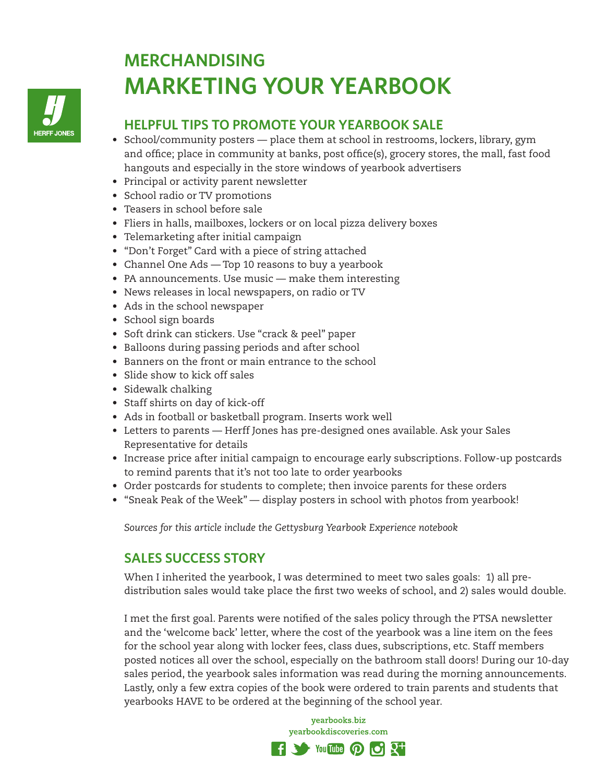

## **MERCHANDISING MARKETING YOUR YEARBOOK**

## **HELPFUL TIPS TO PROMOTE YOUR YEARBOOK SALE**

- School/community posters place them at school in restrooms, lockers, library, gym and office; place in community at banks, post office(s), grocery stores, the mall, fast food hangouts and especially in the store windows of yearbook advertisers
- Principal or activity parent newsletter
- School radio or TV promotions
- Teasers in school before sale
- Fliers in halls, mailboxes, lockers or on local pizza delivery boxes
- Telemarketing after initial campaign
- "Don't Forget" Card with a piece of string attached
- Channel One Ads Top 10 reasons to buy a yearbook
- PA announcements. Use music make them interesting
- News releases in local newspapers, on radio or TV
- Ads in the school newspaper
- School sign boards
- Soft drink can stickers. Use "crack & peel" paper
- Balloons during passing periods and after school
- Banners on the front or main entrance to the school
- Slide show to kick off sales
- Sidewalk chalking
- Staff shirts on day of kick-off
- Ads in football or basketball program. Inserts work well
- Letters to parents Herff Jones has pre-designed ones available. Ask your Sales Representative for details
- Increase price after initial campaign to encourage early subscriptions. Follow-up postcards to remind parents that it's not too late to order yearbooks
- Order postcards for students to complete; then invoice parents for these orders
- "Sneak Peak of the Week" display posters in school with photos from yearbook!

*Sources for this article include the Gettysburg Yearbook Experience notebook*

## **SALES SUCCESS STORY**

When I inherited the yearbook, I was determined to meet two sales goals: 1) all predistribution sales would take place the first two weeks of school, and 2) sales would double.

I met the first goal. Parents were notified of the sales policy through the PTSA newsletter and the 'welcome back' letter, where the cost of the yearbook was a line item on the fees for the school year along with locker fees, class dues, subscriptions, etc. Staff members posted notices all over the school, especially on the bathroom stall doors! During our 10-day sales period, the yearbook sales information was read during the morning announcements. Lastly, only a few extra copies of the book were ordered to train parents and students that yearbooks HAVE to be ordered at the beginning of the school year.